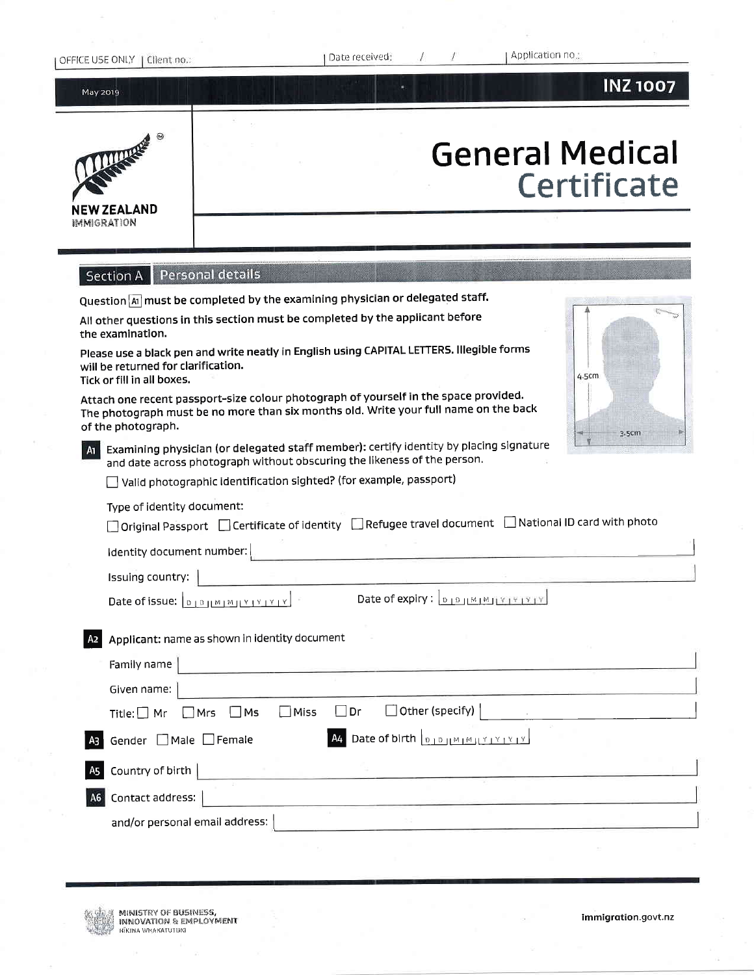| OFFICE USE ONLY   Client no.: |  |
|-------------------------------|--|
|-------------------------------|--|

Date received:

Application no.;

May 2019

## **INZ1007**



# **General Medical** Certificate

Section A | Personal details

Question  $\boxed{\mathbf{A}}$  must be completed by the examining physician or delegated staff.

| All other questions in this section must be completed by the applicant before<br>the examination.                                                                                                  |       |
|----------------------------------------------------------------------------------------------------------------------------------------------------------------------------------------------------|-------|
| Please use a black pen and write neatly in English using CAPITAL LETTERS. Illegible forms<br>will be returned for clarification.<br>Tick or fill in all boxes.                                     | 4.5cm |
| Attach one recent passport-size colour photograph of yourself in the space provided.<br>The photograph must be no more than six months old. Write your full name on the back<br>of the photograph. |       |
|                                                                                                                                                                                                    |       |

 $\sim$ 

 $\mathbf{r}$ 

**Visit Adams** 



Examining physician (or delegated staff member): certify identity by placing signature  $A1$ and date across photograph without obscuring the likeness of the person.

Valid photographic identification sighted? (for example, passport)

#### Type of identity document:

|  |  |  | $\Box$ Original Passport $\Box$ Certificate of identity $\Box$ Refugee travel document $\Box$ National ID card with photo |
|--|--|--|---------------------------------------------------------------------------------------------------------------------------|
|--|--|--|---------------------------------------------------------------------------------------------------------------------------|

Identity document number:

Issuing country:

Date of issue:  $\boxed{0.10 \mid M \mid M \mid Y \mid Y \mid Y \mid Y}$ 

Date of expiry:  $\boxed{0.10 + 0.10 + 0.12 + 12 + 12}$ 

| A2             | Applicant: name as shown in identity document                                                                                                                                                                      |
|----------------|--------------------------------------------------------------------------------------------------------------------------------------------------------------------------------------------------------------------|
|                | Family name                                                                                                                                                                                                        |
|                | Given name:                                                                                                                                                                                                        |
|                | $\Box$ Other (specify)<br>$\Box$ Dr<br>$\Box$ Miss<br>$\Box$ Mrs $\Box$ Ms<br>Title: $\Box$ Mr                                                                                                                     |
| A <sub>3</sub> | <b>A4</b> Date of birth $\left  \begin{smallmatrix} 0 & 1 & 0 \\ 0 & 1 & 0 \end{smallmatrix} \right  \times \left  \begin{smallmatrix} 0 & 1 & 0 \\ 1 & 1 & 0 \end{smallmatrix} \right $<br>Gender □ Male □ Female |
|                | A5 Country of birth                                                                                                                                                                                                |
| A <sub>6</sub> | Contact address:                                                                                                                                                                                                   |
|                | and/or personal email address:                                                                                                                                                                                     |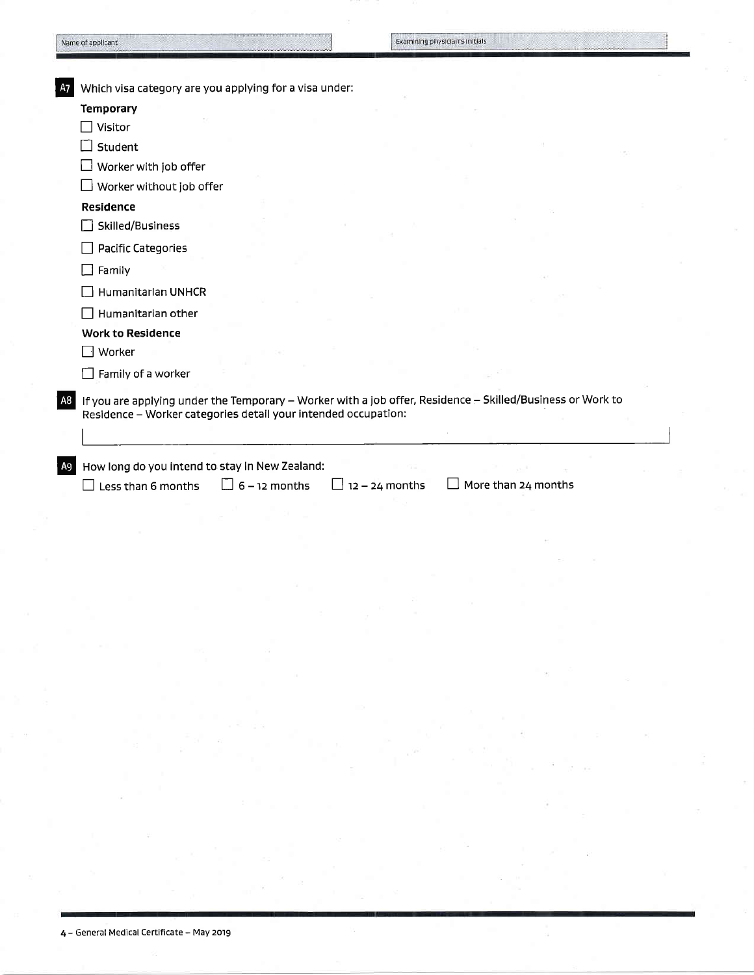| Temporary<br>$\Box$ Visitor<br>Student<br>$\Box$ Worker with job offer<br>$\Box$ Worker without job offer |                                                                                                                                                                                              |                                                                |                                                                                                            |
|-----------------------------------------------------------------------------------------------------------|----------------------------------------------------------------------------------------------------------------------------------------------------------------------------------------------|----------------------------------------------------------------|------------------------------------------------------------------------------------------------------------|
|                                                                                                           |                                                                                                                                                                                              |                                                                |                                                                                                            |
|                                                                                                           |                                                                                                                                                                                              |                                                                |                                                                                                            |
|                                                                                                           |                                                                                                                                                                                              |                                                                |                                                                                                            |
|                                                                                                           |                                                                                                                                                                                              |                                                                |                                                                                                            |
|                                                                                                           |                                                                                                                                                                                              |                                                                |                                                                                                            |
| Residence                                                                                                 |                                                                                                                                                                                              |                                                                |                                                                                                            |
| Skilled/Business                                                                                          |                                                                                                                                                                                              |                                                                |                                                                                                            |
| <b>Pacific Categories</b>                                                                                 |                                                                                                                                                                                              |                                                                |                                                                                                            |
|                                                                                                           |                                                                                                                                                                                              |                                                                |                                                                                                            |
|                                                                                                           |                                                                                                                                                                                              |                                                                |                                                                                                            |
|                                                                                                           |                                                                                                                                                                                              |                                                                |                                                                                                            |
|                                                                                                           |                                                                                                                                                                                              |                                                                |                                                                                                            |
|                                                                                                           |                                                                                                                                                                                              |                                                                |                                                                                                            |
|                                                                                                           |                                                                                                                                                                                              |                                                                |                                                                                                            |
|                                                                                                           |                                                                                                                                                                                              |                                                                |                                                                                                            |
|                                                                                                           |                                                                                                                                                                                              |                                                                |                                                                                                            |
|                                                                                                           |                                                                                                                                                                                              |                                                                |                                                                                                            |
|                                                                                                           | $\Box$ Family<br>Humanitarian UNHCR<br>$\Box$ Humanitarian other<br><b>Work to Residence</b><br>$\Box$ Worker<br>$\Box$ Family of a worker<br>How long do you intend to stay in New Zealand: | Residence - Worker categories detail your intended occupation: | If you are applying under the Temporary - Worker with a job offer, Residence - Skilled/Business or Work to |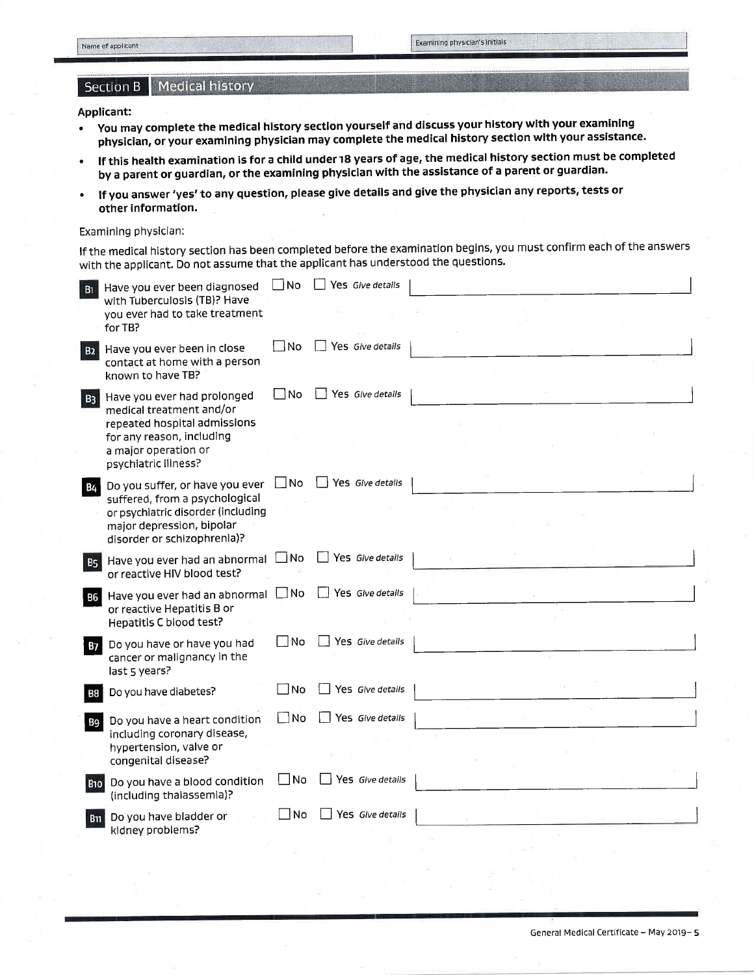## Section B | Medical history

## Applicant:

- . you may complete the medical history section yourself and dlscuss your history wlth your examining physician, or your examining physician may complete the medical history section wlth your assistance.
- . lf this health examination is for a child under r8 years of age, the medical history section must be completed by a parent or guardian, or the examining physician with the assistance of a parent or guardian'
- If you answer 'yes' to any question, please give details and give the physician any reports, tests or other information.

#### Examining physician:

lf the medical history section has been completed before the examination begins, you must confirm each of the answers with the applicant. Do not assume that the applicant has understood the questions.

| <b>B1</b>  | Have you ever been diagnosed                                                                                                                                         | ∃No          | Yes Give details        |  |
|------------|----------------------------------------------------------------------------------------------------------------------------------------------------------------------|--------------|-------------------------|--|
|            | with Tuberculosis (TB)? Have<br>you ever had to take treatment<br>for TB?                                                                                            |              |                         |  |
| <b>B2</b>  | Have you ever been in close<br>contact at home with a person<br>known to have TB?                                                                                    | - No         | Yes Give details        |  |
| <b>B3</b>  | Have you ever had prolonged<br>medical treatment and/or<br>repeated hospital admissions<br>for any reason, including<br>a major operation or<br>psychiatric illness? | -INo         | Yes Give details        |  |
| B4         | Do you suffer, or have you ever<br>suffered, from a psychological<br>or psychiatric disorder (including<br>major depression, bipolar<br>disorder or schizophrenia)?  | ∐No          | Yes Give details        |  |
| <b>B5</b>  | Have you ever had an abnormal<br>or reactive HIV blood test?                                                                                                         | $\Box$ No    | $\Box$ Yes Give details |  |
| <b>B6</b>  | Have you ever had an abnormal<br>or reactive Hepatitis B or<br>Hepatitis C blood test?                                                                               | $\Box$ No    | Yes Give details        |  |
| B7         | Do you have or have you had<br>cancer or malignancy in the<br>last 5 years?                                                                                          | No           | $\Box$ Yes Give details |  |
| Β8         | Do you have diabetes?                                                                                                                                                | No           | Yes Give details        |  |
| <b>B9</b>  | Do you have a heart condition<br>including coronary disease,<br>hypertension, valve or<br>congenital disease?                                                        | $\square$ No | Yes Give details        |  |
| <b>B10</b> | Do you have a blood condition<br>(including thalassemia)?                                                                                                            | $\Box$ No    | Yes Give details        |  |
| <b>B11</b> | Do you have bladder or<br>kidney problems?                                                                                                                           | <b>No</b>    | Yes Give details        |  |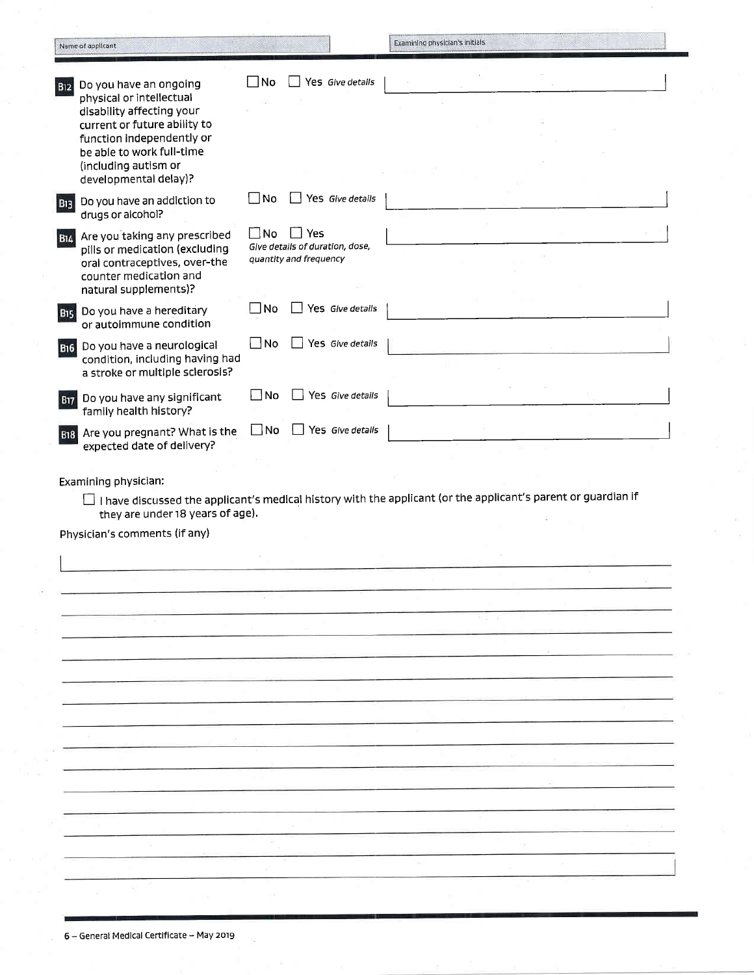|                       | Name of applicant                                                                                                                                                                                                          |              |                                                                      | Examining physician's initials                                                                                |
|-----------------------|----------------------------------------------------------------------------------------------------------------------------------------------------------------------------------------------------------------------------|--------------|----------------------------------------------------------------------|---------------------------------------------------------------------------------------------------------------|
| <b>B12</b>            | Do you have an ongoing<br>physical or intellectual<br>disability affecting your<br>current or future ability to<br>function independently or<br>be able to work full-time<br>(including autism or<br>developmental delay)? | No           | Yes Give details                                                     |                                                                                                               |
| <b>B13</b>            | Do you have an addiction to<br>drugs or alcohol?                                                                                                                                                                           | No           | $\Box$ Yes Give details                                              |                                                                                                               |
| <b>B14</b>            | Are you taking any prescribed<br>pills or medication (excluding<br>oral contraceptives, over-the<br>counter medication and<br>natural supplements)?                                                                        | $\square$ No | l l Yes<br>Give details of duration, dose,<br>quantity and frequency |                                                                                                               |
| <b>B<sub>15</sub></b> | Do you have a hereditary<br>or autoimmune condition                                                                                                                                                                        | ∐No          | Yes Give details                                                     |                                                                                                               |
| <b>B16</b>            | Do you have a neurological<br>condition, including having had<br>a stroke or multiple sclerosis?                                                                                                                           | $\square$ No | Yes Give details                                                     |                                                                                                               |
| <b>B17</b>            | Do you have any significant<br>family health history?                                                                                                                                                                      | No           | Yes Give details                                                     |                                                                                                               |
|                       | B18 Are you pregnant? What is the<br>expected date of delivery?                                                                                                                                                            | $\square$ No | Yes Give details                                                     |                                                                                                               |
|                       | Examining physician:<br>they are under 18 years of age).<br>Physician's comments (if any)                                                                                                                                  |              |                                                                      | I have discussed the applicant's medical history with the applicant (or the applicant's parent or guardian if |
|                       |                                                                                                                                                                                                                            |              |                                                                      |                                                                                                               |
|                       |                                                                                                                                                                                                                            |              |                                                                      |                                                                                                               |
|                       |                                                                                                                                                                                                                            |              |                                                                      |                                                                                                               |
|                       |                                                                                                                                                                                                                            |              |                                                                      |                                                                                                               |
|                       |                                                                                                                                                                                                                            |              |                                                                      |                                                                                                               |
|                       |                                                                                                                                                                                                                            |              |                                                                      |                                                                                                               |
|                       |                                                                                                                                                                                                                            |              |                                                                      |                                                                                                               |
|                       |                                                                                                                                                                                                                            |              |                                                                      |                                                                                                               |
|                       |                                                                                                                                                                                                                            |              |                                                                      |                                                                                                               |

6 - General Medical Certificate - May 2019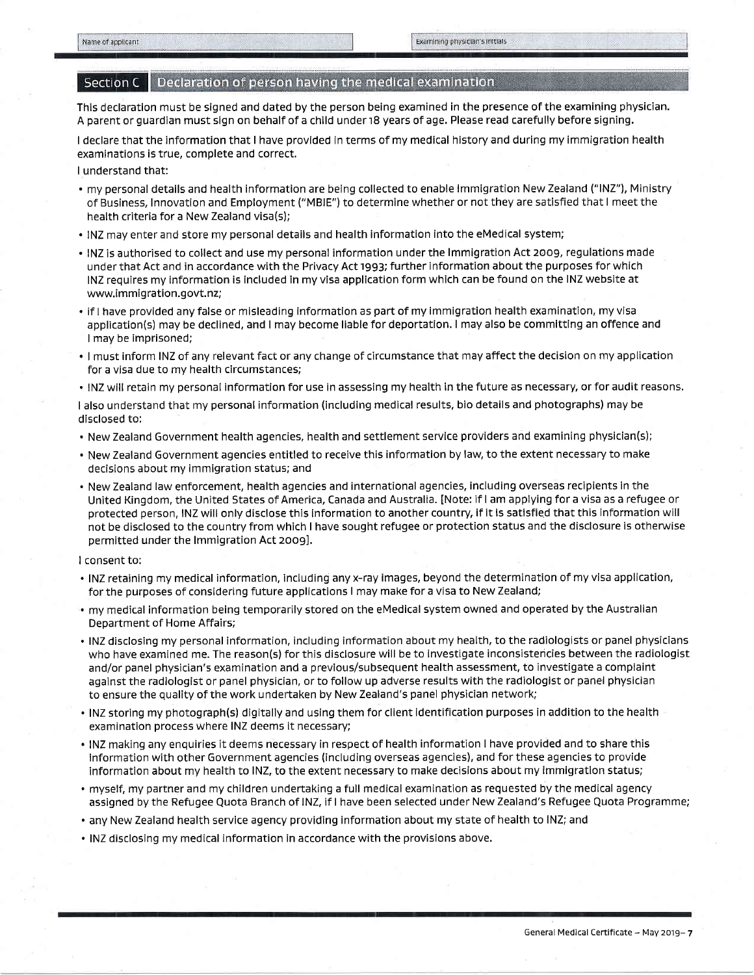### Section C | Declaration of person having the medical examination

This declaration must be signed and dated by the person being examined in the presence of the examining physician. A parent or quardian must sign on behalf of a child under 18 years of age. Please read carefully before signing.

<sup>I</sup>declare that the information that I have provided in terms of my medical history and during my immigration health examinations is true, complete and correct.

I understand that:

- . my personal details and health information are being collected to enable lmmigration New Zealand ("lNZ"), Ministry of Business, Innovation and Employment ("MBlE") to determine whether or not they are satisfied that I meet the health criteria for a New Zealand visa(s);
- . INZ may enter and store my personal details and health information into the eMedical system;
- . INZ is authorised to collect and use my personal information under the Immigration Act 2009, regulations made under that Act and in accordance with the Privacy Act 1993; further information about the purposes for which INZ requires my information is included in my visa application form which can be found on the INZ website at www.immigration.govt.nz;
- . if I have provided any false or misleading information as part of my immigration health examination, my visa application(s) may be declined, and I may become liable for deportation. I may also be committing an offence and I may be imprisoned;
- . I must inform INZ of any relevant fact or any change of circumstance that may afFect the decision on my application for a visa due to my health circumstances;
- . INZ will retain my personal information for use in assessing my health in the future as necessary, or for audit reasons.

<sup>I</sup>also understand that my personal information (including medical results, bio details and photographs) may be disclosed to:

- . New Zealand Government health agencies, health and settlement service providers and examining physician(s);
- . New Zealand Government agencies entitled to receive this information by law, to the extent necessary to make decisions about my immigration status; and
- . New Zealand law enforcement, health agencies and international agencies, including overseas recipients in the United Kingdom, the United States of America, Canada and Australia. [Note: if I am applying for a visa as a refugee or protected person, INZ will only disclose this information to another country, if it is satisfied that this information will not be disclosed to the country from which I have sought refugee or protection status and the disclosure is otherwise permitted under the lmmigration Act 20o9l.

#### I consent to:

- . INZ retaining my medical information, including any x-ray images, beyond the determination of my visa application, for the purposes of considering future applications I may make for a visa to New Zealand;
- . my medical information being temporarily stored on the eMedical system owned and operated by the Australian Department of Home Affairs;
- . INZ disclosing my personal information, including information about my health, to the radiologists or panel physicians who have examined me. The reason(s) for this disclosure will be to investigate inconsistencies between the radiologist and/or panel physician's examination and a previous/subsequent health assessment, to investigate a complaint against the radiologist or panel physician, or to follow up adverse results with the radiologist or panel physician to ensure the quality of the work undertaken by New Zealand's panel physician network;
- . INZ storing my photograph(s) digitally and using them for client identification purposes in addition to the health examination process where INZ deems it necessary;
- . INZ making any enquiries it deems necessary in respect of health information I have provided and to share this information with other Government agencies (including overseas agencies), and for these agencies to provide information about my health to lNZ, to the extent necessary to make decisions about my immigration status;
- . myself, my partner and my children undertaking a full medical examination as requested by the medical agency assigned by the Refugee Quota Branch of lNZ, if I have been selected under New Zealand's Refugee Quota Programme;
- . any New Zealand health service agency providing information about my state of health to INZ; and
- . INZ disclosing my medical information in accordance with the provisions above.